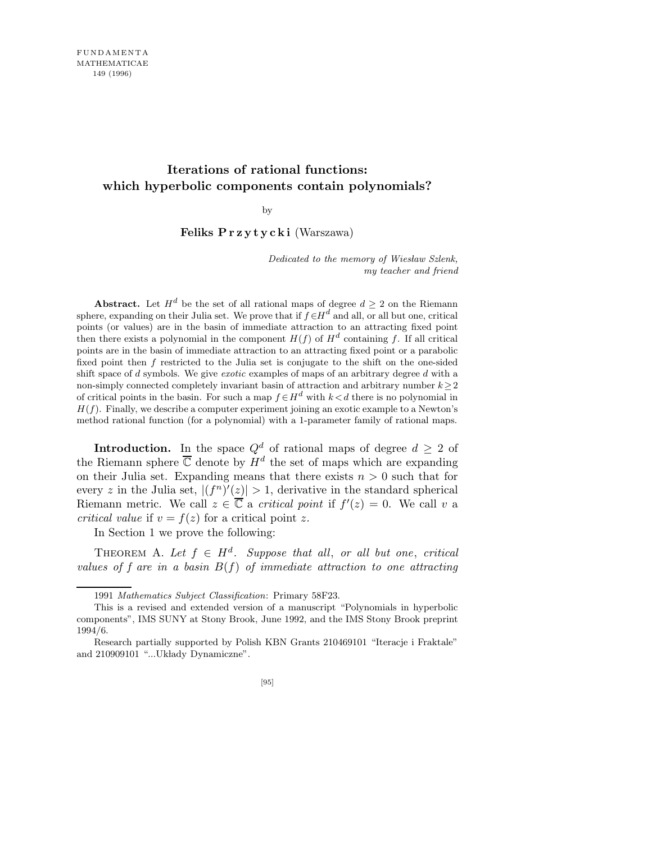## **Iterations of rational functions: which hyperbolic components contain polynomials?**

by

Feliks P r z y t y c k i (Warszawa)

*Dedicated to the memory of Wiesław Szlenk, my teacher and friend*

**Abstract.** Let  $H^d$  be the set of all rational maps of degree  $d \geq 2$  on the Riemann sphere, expanding on their Julia set. We prove that if  $f \in H^d$  and all, or all but one, critical points (or values) are in the basin of immediate attraction to an attracting fixed point then there exists a polynomial in the component  $H(f)$  of  $H^d$  containing f. If all critical points are in the basin of immediate attraction to an attracting fixed point or a parabolic fixed point then *f* restricted to the Julia set is conjugate to the shift on the one-sided shift space of *d* symbols. We give *exotic* examples of maps of an arbitrary degree *d* with a non-simply connected completely invariant basin of attraction and arbitrary number *k≥*2 of critical points in the basin. For such a map  $f \in H^d$  with  $k < d$  there is no polynomial in  $H(f)$ . Finally, we describe a computer experiment joining an exotic example to a Newton's method rational function (for a polynomial) with a 1-parameter family of rational maps.

**Introduction.** In the space  $Q^d$  of rational maps of degree  $d \geq 2$  of the Riemann sphere  $\overline{\mathbb{C}}$  denote by  $H^d$  the set of maps which are expanding on their Julia set. Expanding means that there exists  $n > 0$  such that for every z in the Julia set,  $|(f^n)'(\underline{z})| > 1$ , derivative in the standard spherical Riemann metric. We call  $z \in \overline{\mathbb{C}}$  a *critical point* if  $f'(z) = 0$ . We call v a critical value if  $v = f(z)$  for a critical point z.

In Section 1 we prove the following:

THEOREM A. Let  $f \in H^d$ . Suppose that all, or all but one, critical values of f are in a basin  $B(f)$  of immediate attraction to one attracting

<sup>1991</sup> *Mathematics Subject Classification*: Primary 58F23.

This is a revised and extended version of a manuscript "Polynomials in hyperbolic components", IMS SUNY at Stony Brook, June 1992, and the IMS Stony Brook preprint 1994/6.

Research partially supported by Polish KBN Grants 210469101 "Iteracje i Fraktale" and 210909101 "...Układy Dynamiczne".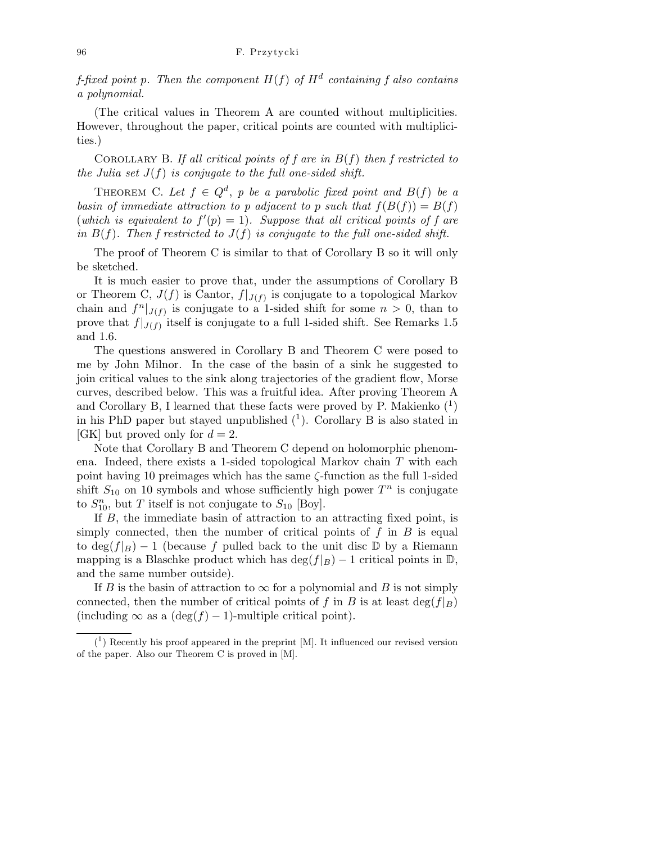f-fixed point p. Then the component  $H(f)$  of  $H^d$  containing f also contains a polynomial.

(The critical values in Theorem A are counted without multiplicities. However, throughout the paper, critical points are counted with multiplicities.)

COROLLARY B. If all critical points of f are in  $B(f)$  then f restricted to the Julia set  $J(f)$  is conjugate to the full one-sided shift.

THEOREM C. Let  $f \in Q^d$ , p be a parabolic fixed point and  $B(f)$  be a basin of immediate attraction to p adjacent to p such that  $f(B(f)) = B(f)$ (which is equivalent to  $f'(p) = 1$ ). Suppose that all critical points of f are in  $B(f)$ . Then f restricted to  $J(f)$  is conjugate to the full one-sided shift.

The proof of Theorem C is similar to that of Corollary B so it will only be sketched.

It is much easier to prove that, under the assumptions of Corollary B or Theorem C,  $J(f)$  is Cantor,  $f|_{J(f)}$  is conjugate to a topological Markov chain and  $f^n|_{J(f)}$  is conjugate to a 1-sided shift for some  $n > 0$ , than to prove that  $f|_{J(f)}$  itself is conjugate to a full 1-sided shift. See Remarks 1.5 and 1.6.

The questions answered in Corollary B and Theorem C were posed to me by John Milnor. In the case of the basin of a sink he suggested to join critical values to the sink along trajectories of the gradient flow, Morse curves, described below. This was a fruitful idea. After proving Theorem A and Corollary B, I learned that these facts were proved by P. Makienko  $(1)$ in his PhD paper but stayed unpublished  $(1)$ . Corollary B is also stated in [GK] but proved only for  $d = 2$ .

Note that Corollary B and Theorem C depend on holomorphic phenomena. Indeed, there exists a 1-sided topological Markov chain T with each point having 10 preimages which has the same ζ-function as the full 1-sided shift  $S_{10}$  on 10 symbols and whose sufficiently high power  $T^n$  is conjugate to  $S_{10}^n$ , but T itself is not conjugate to  $S_{10}$  [Boy].

If B, the immediate basin of attraction to an attracting fixed point, is simply connected, then the number of critical points of  $f$  in  $B$  is equal to  $\deg(f|_B) - 1$  (because f pulled back to the unit disc D by a Riemann mapping is a Blaschke product which has deg( $f|_B$ ) − 1 critical points in D, and the same number outside).

If B is the basin of attraction to  $\infty$  for a polynomial and B is not simply connected, then the number of critical points of f in B is at least  $\deg(f|B)$ (including  $\infty$  as a (deg(f) – 1)-multiple critical point).

 $(1)$  Recently his proof appeared in the preprint [M]. It influenced our revised version of the paper. Also our Theorem C is proved in [M].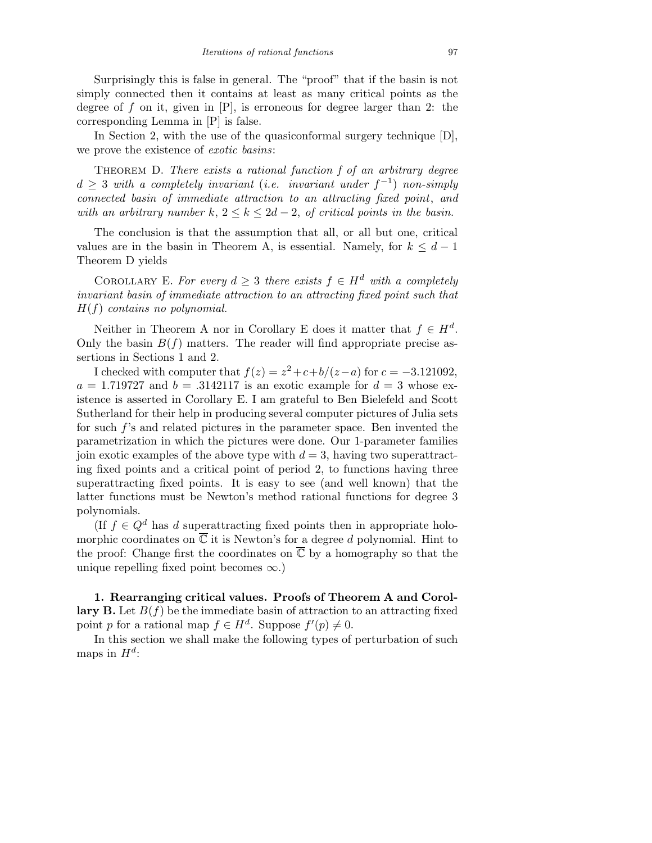Surprisingly this is false in general. The "proof" that if the basin is not simply connected then it contains at least as many critical points as the degree of f on it, given in  $[P]$ , is erroneous for degree larger than 2: the corresponding Lemma in [P] is false.

In Section 2, with the use of the quasiconformal surgery technique [D], we prove the existence of exotic basins:

THEOREM D. There exists a rational function f of an arbitrary degree  $d \geq 3$  with a completely invariant (i.e. invariant under  $f^{-1}$ ) non-simply connected basin of immediate attraction to an attracting fixed point, and with an arbitrary number k,  $2 \leq k \leq 2d-2$ , of critical points in the basin.

The conclusion is that the assumption that all, or all but one, critical values are in the basin in Theorem A, is essential. Namely, for  $k \leq d-1$ Theorem D yields

COROLLARY E. For every  $d \geq 3$  there exists  $f \in H^d$  with a completely invariant basin of immediate attraction to an attracting fixed point such that  $H(f)$  contains no polynomial.

Neither in Theorem A nor in Corollary E does it matter that  $f \in H^d$ . Only the basin  $B(f)$  matters. The reader will find appropriate precise assertions in Sections 1 and 2.

I checked with computer that  $f(z) = z^2 + c + b/(z-a)$  for  $c = -3.121092$ ,  $a = 1.719727$  and  $b = .3142117$  is an exotic example for  $d = 3$  whose existence is asserted in Corollary E. I am grateful to Ben Bielefeld and Scott Sutherland for their help in producing several computer pictures of Julia sets for such f's and related pictures in the parameter space. Ben invented the parametrization in which the pictures were done. Our 1-parameter families join exotic examples of the above type with  $d = 3$ , having two superattracting fixed points and a critical point of period 2, to functions having three superattracting fixed points. It is easy to see (and well known) that the latter functions must be Newton's method rational functions for degree 3 polynomials.

(If  $f \in Q^d$  has d superattracting fixed points then in appropriate holomorphic coordinates on  $\overline{\mathbb{C}}$  it is Newton's for a degree d polynomial. Hint to the proof: Change first the coordinates on  $\overline{\mathbb{C}}$  by a homography so that the unique repelling fixed point becomes  $\infty$ .)

1. Rearranging critical values. Proofs of Theorem A and Corollary B. Let  $B(f)$  be the immediate basin of attraction to an attracting fixed point p for a rational map  $f \in H^d$ . Suppose  $f'(p) \neq 0$ .

In this section we shall make the following types of perturbation of such maps in  $H^d$ :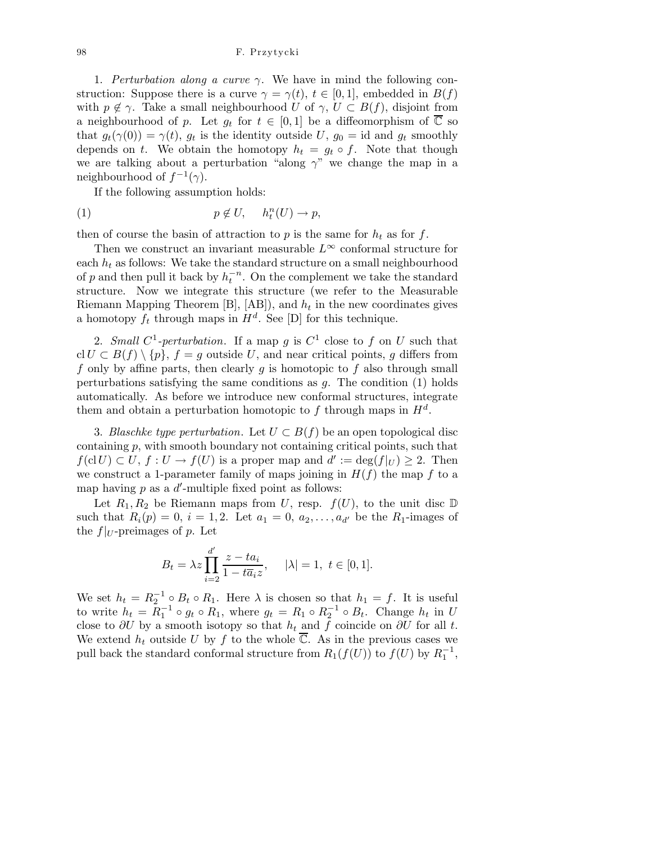1. Perturbation along a curve  $\gamma$ . We have in mind the following construction: Suppose there is a curve  $\gamma = \gamma(t)$ ,  $t \in [0, 1]$ , embedded in  $B(f)$ with  $p \notin \gamma$ . Take a small neighbourhood U of  $\gamma$ ,  $U \subset B(f)$ , disjoint from a neighbourhood of p. Let  $g_t$  for  $t \in [0,1]$  be a diffeomorphism of  $\overline{\mathbb{C}}$  so that  $g_t(\gamma(0)) = \gamma(t)$ ,  $g_t$  is the identity outside U,  $g_0 = id$  and  $g_t$  smoothly depends on t. We obtain the homotopy  $h_t = g_t \circ f$ . Note that though we are talking about a perturbation "along  $\gamma$ " we change the map in a neighbourhood of  $f^{-1}(\gamma)$ .

If the following assumption holds:

(1) 
$$
p \notin U
$$
,  $h_t^n(U) \to p$ ,

then of course the basin of attraction to p is the same for  $h_t$  as for f.

Then we construct an invariant measurable  $L^{\infty}$  conformal structure for each  $h_t$  as follows: We take the standard structure on a small neighbourhood of p and then pull it back by  $h_t^{-n}$ . On the complement we take the standard structure. Now we integrate this structure (we refer to the Measurable Riemann Mapping Theorem  $[B], [AB]$ , and  $h_t$  in the new coordinates gives a homotopy  $f_t$  through maps in  $H^d$ . See [D] for this technique.

2. Small  $C^1$ -perturbation. If a map g is  $C^1$  close to f on U such that cl  $U \subset B(f) \setminus \{p\}, f = g$  outside U, and near critical points, g differs from f only by affine parts, then clearly  $g$  is homotopic to  $f$  also through small perturbations satisfying the same conditions as  $g$ . The condition  $(1)$  holds automatically. As before we introduce new conformal structures, integrate them and obtain a perturbation homotopic to f through maps in  $H^d$ .

3. Blaschke type perturbation. Let  $U \subset B(f)$  be an open topological disc containing p, with smooth boundary not containing critical points, such that  $f(cl U) \subset U, f : U \to f(U)$  is a proper map and  $d' := deg(f|_U) \geq 2$ . Then we construct a 1-parameter family of maps joining in  $H(f)$  the map f to a map having  $p$  as a  $d'$ -multiple fixed point as follows:

Let  $R_1, R_2$  be Riemann maps from U, resp.  $f(U)$ , to the unit disc  $D$ such that  $R_i(p) = 0, i = 1, 2$ . Let  $a_1 = 0, a_2, ..., a_{d'}$  be the  $R_1$ -images of the  $f|_U$ -preimages of p. Let

$$
B_t=\lambda z\prod_{i=2}^{d'}\frac{z-ta_i}{1-t\overline{a}_iz},\quad \ |\lambda|=1,\,\,t\in[0,1].
$$

We set  $h_t = R_2^{-1} \circ B_t \circ R_1$ . Here  $\lambda$  is chosen so that  $h_1 = f$ . It is useful to write  $h_t = R_1^{-1} \circ g_t \circ R_1$ , where  $g_t = R_1 \circ R_2^{-1} \circ B_t$ . Change  $h_t$  in U close to  $\partial U$  by a smooth isotopy so that  $h_t$  and f coincide on  $\partial U$  for all t. We extend  $h_t$  outside U by f to the whole  $\overline{\mathbb{C}}$ . As in the previous cases we pull back the standard conformal structure from  $R_1(f(U))$  to  $f(U)$  by  $R_1^{-1}$ ,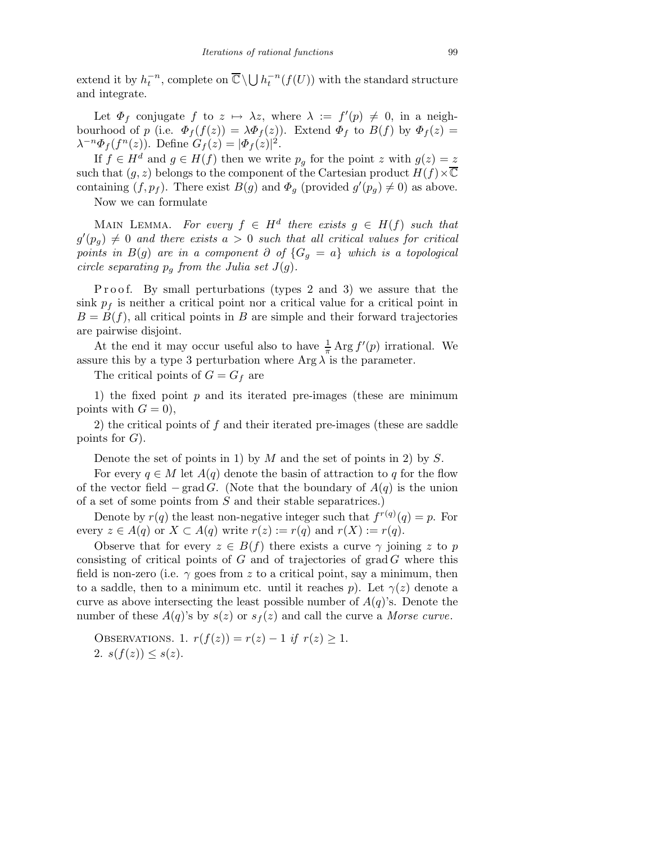extend it by  $h_t^{-n}$ , complete on  $\overline{\mathbb{C}} \setminus \bigcup h_t^{-n}(f(U))$  with the standard structure and integrate.

Let  $\Phi_f$  conjugate  $f$  to  $z \mapsto \lambda z$ , where  $\lambda := f'(p) \neq 0$ , in a neighbourhood of p (i.e.  $\Phi_f(f(z)) = \lambda \Phi_f(z)$ ). Extend  $\Phi_f$  to  $B(f)$  by  $\Phi_f(z) =$  $\lambda^{-n} \Phi_f(f^n(z))$ . Define  $G_f(z) = |\Phi_f(z)|^2$ .

If  $f \in H^d$  and  $g \in H(f)$  then we write  $p_g$  for the point z with  $g(z) = z$ such that  $(g, z)$  belongs to the component of the Cartesian product  $H(f) \times \overline{\mathbb{C}}$ containing  $(f, p_f)$ . There exist  $B(g)$  and  $\Phi_g$  (provided  $g'(p_g) \neq 0$ ) as above.

Now we can formulate

MAIN LEMMA. For every  $f \in H^d$  there exists  $g \in H(f)$  such that  $g'(p_g) \neq 0$  and there exists  $a > 0$  such that all critical values for critical points in  $B(g)$  are in a component  $\partial$  of  $\{G_q = a\}$  which is a topological circle separating  $p_q$  from the Julia set  $J(g)$ .

Proof. By small perturbations (types 2 and 3) we assure that the sink  $p_f$  is neither a critical point nor a critical value for a critical point in  $B = B(f)$ , all critical points in B are simple and their forward trajectories are pairwise disjoint.

At the end it may occur useful also to have  $\frac{1}{\pi} \operatorname{Arg} f'(p)$  irrational. We assure this by a type 3 perturbation where  $\text{Arg }\lambda$  is the parameter.

The critical points of  $G = G_f$  are

1) the fixed point  $p$  and its iterated pre-images (these are minimum points with  $G = 0$ ,

2) the critical points of f and their iterated pre-images (these are saddle points for  $G$ ).

Denote the set of points in 1) by  $M$  and the set of points in 2) by  $S$ .

For every  $q \in M$  let  $A(q)$  denote the basin of attraction to q for the flow of the vector field  $-\text{grad } G$ . (Note that the boundary of  $A(q)$  is the union of a set of some points from S and their stable separatrices.)

Denote by  $r(q)$  the least non-negative integer such that  $f^{r(q)}(q) = p$ . For every  $z \in A(q)$  or  $X \subset A(q)$  write  $r(z) := r(q)$  and  $r(X) := r(q)$ .

Observe that for every  $z \in B(f)$  there exists a curve  $\gamma$  joining z to p consisting of critical points of  $G$  and of trajectories of grad  $G$  where this field is non-zero (i.e.  $\gamma$  goes from z to a critical point, say a minimum, then to a saddle, then to a minimum etc. until it reaches p). Let  $\gamma(z)$  denote a curve as above intersecting the least possible number of  $A(q)$ 's. Denote the number of these  $A(q)$ 's by  $s(z)$  or  $s<sub>f</sub>(z)$  and call the curve a Morse curve.

OBSERVATIONS. 1.  $r(f(z)) = r(z) - 1$  if  $r(z) \geq 1$ . 2.  $s(f(z)) \leq s(z)$ .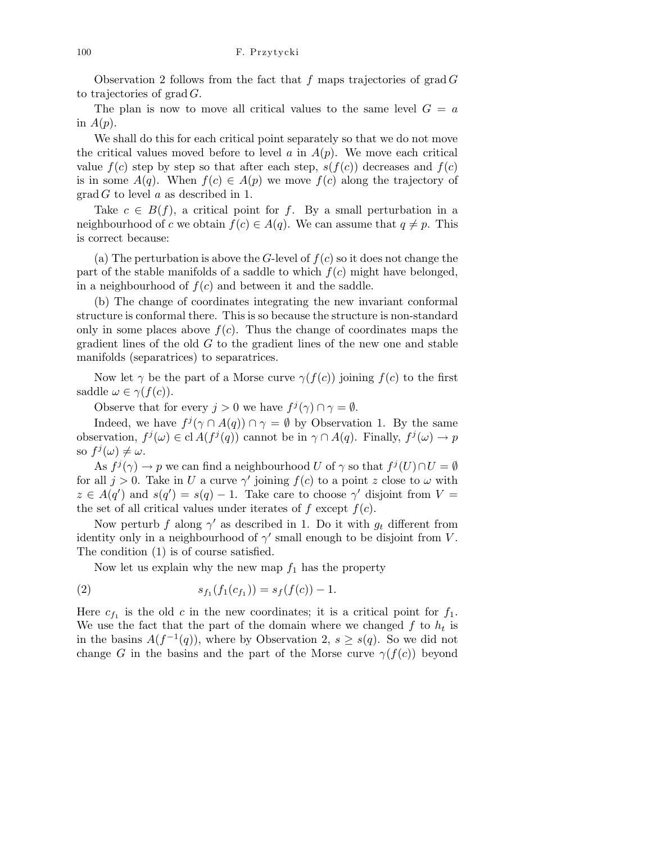Observation 2 follows from the fact that f maps trajectories of grad  $G$ to trajectories of  $\operatorname{grad} G$ .

The plan is now to move all critical values to the same level  $G = a$ in  $A(p)$ .

We shall do this for each critical point separately so that we do not move the critical values moved before to level a in  $A(p)$ . We move each critical value  $f(c)$  step by step so that after each step,  $s(f(c))$  decreases and  $f(c)$ is in some  $A(q)$ . When  $f(c) \in A(p)$  we move  $f(c)$  along the trajectory of grad G to level a as described in 1.

Take  $c \in B(f)$ , a critical point for f. By a small perturbation in a neighbourhood of c we obtain  $f(c) \in A(q)$ . We can assume that  $q \neq p$ . This is correct because:

(a) The perturbation is above the G-level of  $f(c)$  so it does not change the part of the stable manifolds of a saddle to which  $f(c)$  might have belonged, in a neighbourhood of  $f(c)$  and between it and the saddle.

(b) The change of coordinates integrating the new invariant conformal structure is conformal there. This is so because the structure is non-standard only in some places above  $f(c)$ . Thus the change of coordinates maps the gradient lines of the old  $G$  to the gradient lines of the new one and stable manifolds (separatrices) to separatrices.

Now let  $\gamma$  be the part of a Morse curve  $\gamma(f(c))$  joining  $f(c)$  to the first saddle  $\omega \in \gamma(f(c)).$ 

Observe that for every  $j > 0$  we have  $f^j(\gamma) \cap \gamma = \emptyset$ .

Indeed, we have  $f^j(\gamma \cap A(q)) \cap \gamma = \emptyset$  by Observation 1. By the same observation,  $f^j(\omega) \in \text{cl } A(f^j(q))$  cannot be in  $\gamma \cap A(q)$ . Finally,  $f^j(\omega) \to p$ so  $f^j(\omega) \neq \omega$ .

As  $f^j(\gamma) \to p$  we can find a neighbourhood U of  $\gamma$  so that  $f^j(U) \cap U = \emptyset$ for all  $j > 0$ . Take in U a curve  $\gamma'$  joining  $f(c)$  to a point z close to  $\omega$  with  $z \in A(q')$  and  $s(q') = s(q) - 1$ . Take care to choose  $\gamma'$  disjoint from  $V =$ the set of all critical values under iterates of  $f$  except  $f(c)$ .

Now perturb f along  $\gamma'$  as described in 1. Do it with  $g_t$  different from identity only in a neighbourhood of  $\gamma'$  small enough to be disjoint from V. The condition (1) is of course satisfied.

Now let us explain why the new map  $f_1$  has the property

(2) 
$$
s_{f_1}(f_1(c_{f_1})) = s_f(f(c)) - 1.
$$

Here  $c_{f_1}$  is the old c in the new coordinates; it is a critical point for  $f_1$ . We use the fact that the part of the domain where we changed  $f$  to  $h_t$  is in the basins  $A(f^{-1}(q))$ , where by Observation 2,  $s \geq s(q)$ . So we did not change G in the basins and the part of the Morse curve  $\gamma(f(c))$  beyond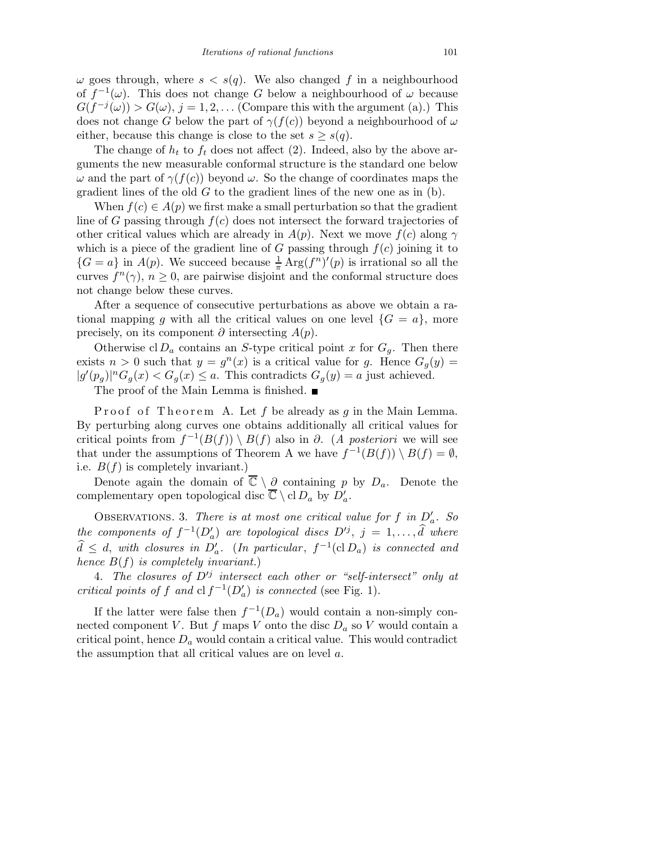$\omega$  goes through, where  $s < s(q)$ . We also changed f in a neighbourhood of  $f^{-1}(\omega)$ . This does not change G below a neighbourhood of  $\omega$  because  $G(f^{-j}(\omega)) > G(\omega), j = 1, 2, \ldots$  (Compare this with the argument (a).) This does not change G below the part of  $\gamma(f(c))$  beyond a neighbourhood of  $\omega$ either, because this change is close to the set  $s \geq s(q)$ .

The change of  $h_t$  to  $f_t$  does not affect (2). Indeed, also by the above arguments the new measurable conformal structure is the standard one below  $ω$  and the part of  $γ(f(c))$  beyond  $ω$ . So the change of coordinates maps the gradient lines of the old  $G$  to the gradient lines of the new one as in  $(b)$ .

When  $f(c) \in A(p)$  we first make a small perturbation so that the gradient line of G passing through  $f(c)$  does not intersect the forward trajectories of other critical values which are already in  $A(p)$ . Next we move  $f(c)$  along  $\gamma$ which is a piece of the gradient line of G passing through  $f(c)$  joining it to  ${G = a}$  in  $A(p)$ . We succeed because  $\frac{1}{\pi} \text{Arg}(f^n)'(p)$  is irrational so all the curves  $f^{n}(\gamma)$ ,  $n \geq 0$ , are pairwise disjoint and the conformal structure does not change below these curves.

After a sequence of consecutive perturbations as above we obtain a rational mapping g with all the critical values on one level  $\{G = a\}$ , more precisely, on its component  $\partial$  intersecting  $A(p)$ .

Otherwise cl  $D_a$  contains an S-type critical point x for  $G_a$ . Then there exists  $n > 0$  such that  $y = g<sup>n</sup>(x)$  is a critical value for g. Hence  $G<sub>g</sub>(y) =$  $|g'(p_g)|^n G_g(x) < G_g(x) \leq a$ . This contradicts  $G_g(y) = a$  just achieved.

The proof of the Main Lemma is finished. ■

Proof of Theorem A. Let f be already as g in the Main Lemma. By perturbing along curves one obtains additionally all critical values for critical points from  $f^{-1}(B(f)) \setminus B(f)$  also in  $\partial$ . (A posteriori we will see that under the assumptions of Theorem A we have  $f^{-1}(B(f)) \setminus B(f) = \emptyset$ , i.e.  $B(f)$  is completely invariant.)

Denote again the domain of  $\overline{\mathbb{C}} \setminus \partial$  containing p by  $D_a$ . Denote the complementary open topological disc  $\overline{\mathbb{C}} \setminus \text{cl} D_a$  by  $D'_a$ .

OBSERVATIONS. 3. There is at most one critical value for f in  $D'_a$ . So the components of  $f^{-1}(D'_a)$  are topological discs  $D'^j$ ,  $j = 1, \ldots, \hat{d}$  where  $d \leq d$ , with closures in  $D'_a$ . (In particular,  $f^{-1}(cD_a)$  is connected and hence  $B(f)$  is completely invariant.)

4. The closures of  $D'^j$  intersect each other or "self-intersect" only at critical points of f and  $\mathrm{cl}\, f^{-1}(D_a')$  is connected (see Fig. 1).

If the latter were false then  $f^{-1}(D_a)$  would contain a non-simply connected component V. But f maps V onto the disc  $D_a$  so V would contain a critical point, hence  $D_a$  would contain a critical value. This would contradict the assumption that all critical values are on level a.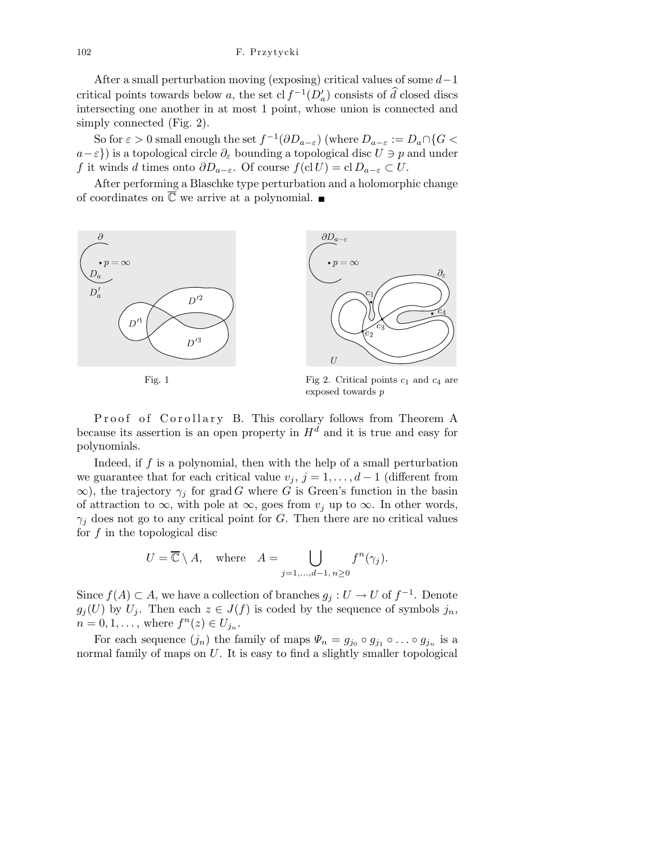After a small perturbation moving (exposing) critical values of some  $d-1$ critical points towards below a, the set cl  $f^{-1}(D'_a)$  consists of  $\hat{d}$  closed discs intersecting one another in at most 1 point, whose union is connected and simply connected (Fig. 2).

So for  $\varepsilon > 0$  small enough the set  $f^{-1}(\partial D_{a-\varepsilon})$  (where  $D_{a-\varepsilon} := D_a \cap \{G <$  $a-\varepsilon$ }) is a topological circle  $\partial_{\varepsilon}$  bounding a topological disc  $U \ni p$  and under f it winds d times onto  $\partial D_{a-\varepsilon}$ . Of course  $f(\text{cl } U) = \text{cl } D_{a-\varepsilon} \subset U$ .

After performing a Blaschke type perturbation and a holomorphic change of coordinates on  $\overline{\mathbb{C}}$  we arrive at a polynomial.



Fig. 1 Fig 2. Critical points  $c_1$  and  $c_4$  are exposed towards *p*

Proof of Corollary B. This corollary follows from Theorem A because its assertion is an open property in  $H<sup>d</sup>$  and it is true and easy for polynomials.

Indeed, if  $f$  is a polynomial, then with the help of a small perturbation we guarantee that for each critical value  $v_j, j = 1, \ldots, d-1$  (different from  $\infty$ ), the trajectory  $\gamma_j$  for grad G where G is Green's function in the basin of attraction to  $\infty$ , with pole at  $\infty$ , goes from  $v_j$  up to  $\infty$ . In other words,  $\gamma_j$  does not go to any critical point for G. Then there are no critical values for  $f$  in the topological disc

$$
U = \overline{\mathbb{C}} \setminus A, \quad \text{where} \quad A = \bigcup_{j=1,\dots,d-1,\,n \ge 0} f^n(\gamma_j).
$$

Since  $f(A) \subset A$ , we have a collection of branches  $g_j : U \to U$  of  $f^{-1}$ . Denote  $g_j(U)$  by  $U_j$ . Then each  $z \in J(f)$  is coded by the sequence of symbols  $j_n$ ,  $n = 0, 1, \ldots$ , where  $f^{n}(z) \in U_{j_n}$ .

For each sequence  $(j_n)$  the family of maps  $\Psi_n = g_{j_0} \circ g_{j_1} \circ \dots \circ g_{j_n}$  is a normal family of maps on  $U$ . It is easy to find a slightly smaller topological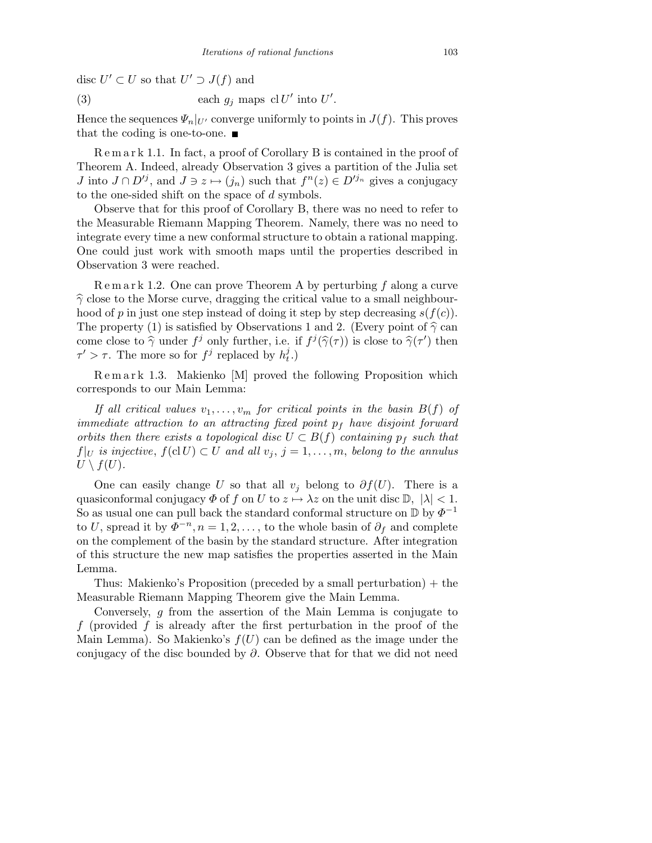disc  $U' \subset U$  so that  $U' \supset J(f)$  and

(3) each 
$$
g_j
$$
 maps cl  $U'$  into  $U'$ .

Hence the sequences  $\Psi_n|_{U'}$  converge uniformly to points in  $J(f)$ . This proves that the coding is one-to-one.  $\blacksquare$ 

R e m a r k 1.1. In fact, a proof of Corollary B is contained in the proof of Theorem A. Indeed, already Observation 3 gives a partition of the Julia set *J* into  $J \cap D'^j$ , and  $J \ni z \mapsto (j_n)$  such that  $f^n(z) \in D'^{j_n}$  gives a conjugacy to the one-sided shift on the space of d symbols.

Observe that for this proof of Corollary B, there was no need to refer to the Measurable Riemann Mapping Theorem. Namely, there was no need to integrate every time a new conformal structure to obtain a rational mapping. One could just work with smooth maps until the properties described in Observation 3 were reached.

 $\mathbb R$  e m a r k 1.2. One can prove Theorem A by perturbing f along a curve  $\hat{\gamma}$  close to the Morse curve, dragging the critical value to a small neighbourhood of p in just one step instead of doing it step by step decreasing  $s(f(c))$ . The property (1) is satisfied by Observations 1 and 2. (Every point of  $\hat{\gamma}$  can come close to  $\hat{\gamma}$  under  $f^j$  only further, i.e. if  $f^j(\hat{\gamma}(\tau))$  is close to  $\hat{\gamma}(\tau')$  then  $\tau' > \tau$ . The more so for  $f^j$  replaced by  $h_t^j$ .)

R e m a r k 1.3. Makienko [M] proved the following Proposition which corresponds to our Main Lemma:

If all critical values  $v_1, \ldots, v_m$  for critical points in the basin  $B(f)$  of immediate attraction to an attracting fixed point  $p_f$  have disjoint forward orbits then there exists a topological disc  $U \subset B(f)$  containing  $p_f$  such that  $f|_U$  is injective,  $f(cl U) \subset U$  and all  $v_j$ ,  $j = 1, \ldots, m$ , belong to the annulus  $U \setminus f(U)$ .

One can easily change U so that all  $v_j$  belong to  $\partial f(U)$ . There is a quasiconformal conjugacy  $\Phi$  of f on U to  $z \mapsto \lambda z$  on the unit disc D,  $|\lambda| < 1$ . So as usual one can pull back the standard conformal structure on  $\mathbb D$  by  $\varPhi^{-1}$ to U, spread it by  $\Phi^{-n}, n = 1, 2, \ldots$ , to the whole basin of  $\partial_f$  and complete on the complement of the basin by the standard structure. After integration of this structure the new map satisfies the properties asserted in the Main Lemma.

Thus: Makienko's Proposition (preceded by a small perturbation) + the Measurable Riemann Mapping Theorem give the Main Lemma.

Conversely, g from the assertion of the Main Lemma is conjugate to f (provided f is already after the first perturbation in the proof of the Main Lemma). So Makienko's  $f(U)$  can be defined as the image under the conjugacy of the disc bounded by  $\partial$ . Observe that for that we did not need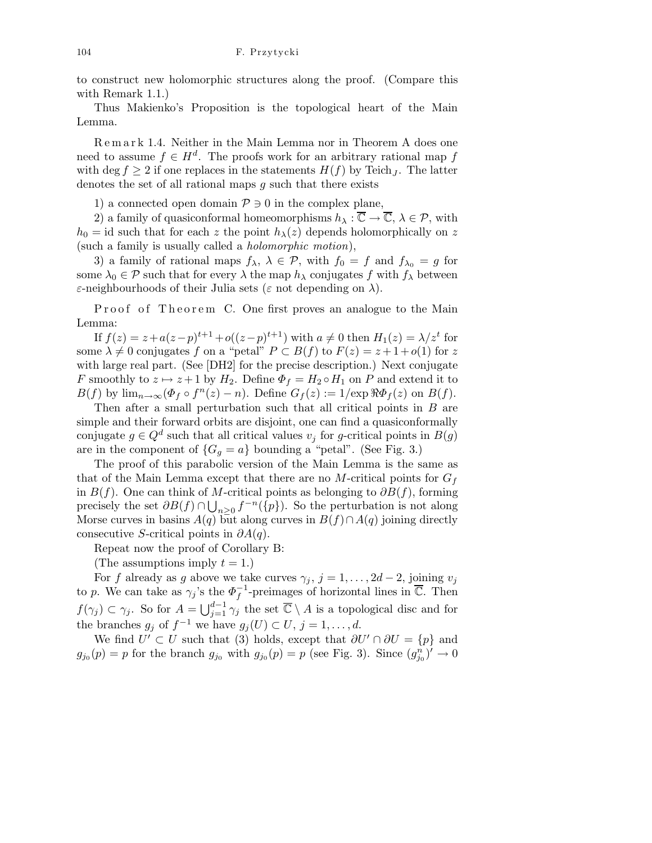to construct new holomorphic structures along the proof. (Compare this with Remark 1.1.)

Thus Makienko's Proposition is the topological heart of the Main Lemma.

R e m a r k 1.4. Neither in the Main Lemma nor in Theorem A does one need to assume  $f \in H^d$ . The proofs work for an arbitrary rational map f with deg  $f \geq 2$  if one replaces in the statements  $H(f)$  by Teich<sub>J</sub>. The latter denotes the set of all rational maps g such that there exists

1) a connected open domain  $\mathcal{P} \ni 0$  in the complex plane,

2) a family of quasiconformal homeomorphisms  $h_{\lambda} : \overline{\mathbb{C}} \to \overline{\mathbb{C}}$ ,  $\lambda \in \mathcal{P}$ , with  $h_0 = id$  such that for each z the point  $h_{\lambda}(z)$  depends holomorphically on z (such a family is usually called a holomorphic motion),

3) a family of rational maps  $f_{\lambda}$ ,  $\lambda \in \mathcal{P}$ , with  $f_0 = f$  and  $f_{\lambda_0} = g$  for some  $\lambda_0 \in \mathcal{P}$  such that for every  $\lambda$  the map  $h_\lambda$  conjugates f with  $f_\lambda$  between  $\varepsilon$ -neighbourhoods of their Julia sets ( $\varepsilon$  not depending on  $\lambda$ ).

Proof of Theorem C. One first proves an analogue to the Main Lemma:

If  $f(z) = z + a(z - p)^{t+1} + o((z - p)^{t+1})$  with  $a \neq 0$  then  $H_1(z) = \lambda/z^t$  for some  $\lambda \neq 0$  conjugates f on a "petal"  $P \subset B(f)$  to  $F(z) = z + 1 + o(1)$  for z with large real part. (See [DH2] for the precise description.) Next conjugate F smoothly to  $z \mapsto z + 1$  by  $H_2$ . Define  $\Phi_f = H_2 \circ H_1$  on P and extend it to  $B(f)$  by  $\lim_{n\to\infty} (\Phi_f \circ f^n(z) - n)$ . Define  $G_f(z) := 1/\exp \Re \Phi_f(z)$  on  $B(f)$ .

Then after a small perturbation such that all critical points in B are simple and their forward orbits are disjoint, one can find a quasiconformally conjugate  $g \in Q^d$  such that all critical values  $v_j$  for g-critical points in  $B(g)$ are in the component of  $\{G_g = a\}$  bounding a "petal". (See Fig. 3.)

The proof of this parabolic version of the Main Lemma is the same as that of the Main Lemma except that there are no M-critical points for  $G_f$ in  $B(f)$ . One can think of M-critical points as belonging to  $\partial B(f)$ , forming precisely the set  $\partial B(f) \cap \bigcup_{n\geq 0} f^{-n}(\overline{p})$ . So the perturbation is not along Morse curves in basins  $A(q)$  but along curves in  $B(f) \cap A(q)$  joining directly consecutive S-critical points in  $\partial A(q)$ .

Repeat now the proof of Corollary B:

(The assumptions imply  $t = 1$ .)

For f already as g above we take curves  $\gamma_j$ ,  $j = 1, \ldots, 2d - 2$ , joining  $v_j$ to p. We can take as  $\gamma_j$ 's the  $\Phi_f^{-1}$ -preimages of horizontal lines in  $\overline{\mathbb{C}}$ . Then  $f(\gamma_j) \subset \gamma_j$ . So for  $A = \bigcup_{j=1}^{d-1} \gamma_j$  the set  $\overline{\mathbb{C}} \setminus A$  is a topological disc and for the branches  $g_j$  of  $f^{-1}$  we have  $g_j(U) \subset U, j = 1, \ldots, d$ .

We find  $U' \subset U$  such that (3) holds, except that  $\partial U' \cap \partial U = \{p\}$  and  $g_{j_0}(p) = p$  for the branch  $g_{j_0}$  with  $g_{j_0}(p) = p$  (see Fig. 3). Since  $(g_{j_0}^n)' \to 0$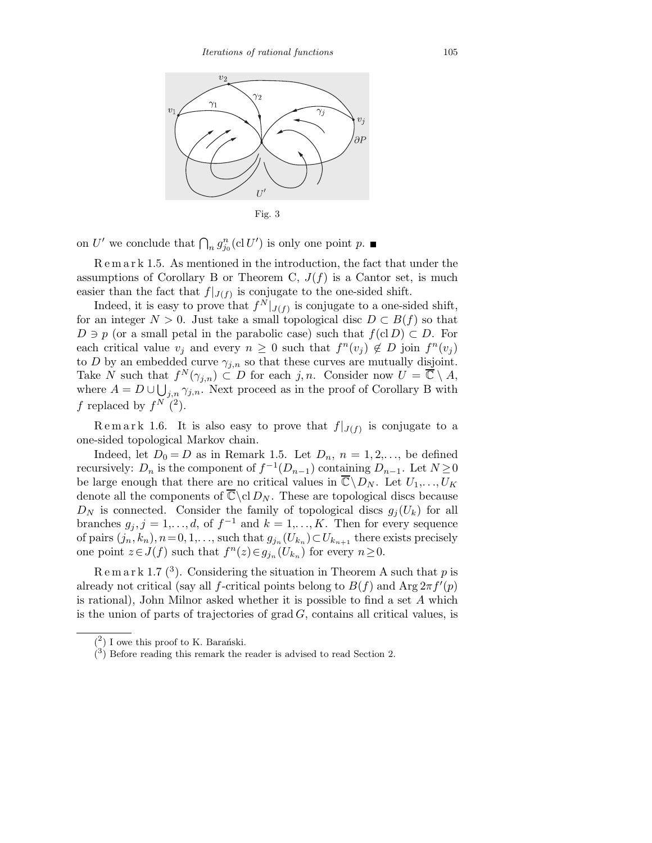

on U' we conclude that  $\bigcap_n g_{j_0}^n(\text{cl } U')$  is only one point p.

R e m a r k 1.5. As mentioned in the introduction, the fact that under the assumptions of Corollary B or Theorem C,  $J(f)$  is a Cantor set, is much easier than the fact that  $f|_{J(f)}$  is conjugate to the one-sided shift.

Indeed, it is easy to prove that  $f^N|_{J(f)}$  is conjugate to a one-sided shift, for an integer  $N > 0$ . Just take a small topological disc  $D \subset B(f)$  so that  $D \ni p$  (or a small petal in the parabolic case) such that  $f(cl D) \subset D$ . For each critical value  $v_j$  and every  $n \geq 0$  such that  $f^n(v_j) \notin D$  join  $f^n(v_j)$ to D by an embedded curve  $\gamma_{j,n}$  so that these curves are mutually disjoint. Take N such that  $f^N(\gamma_{j,n}) \subset D$  for each  $j, n$ . Consider now  $U = \overline{\mathbb{C}} \setminus A$ , where  $A = D \cup \bigcup_{j,n} \gamma_{j,n}$ . Next proceed as in the proof of Corollary B with f replaced by  $f^N(2)$ .

Remark 1.6. It is also easy to prove that  $f|_{J(f)}$  is conjugate to a one-sided topological Markov chain.

Indeed, let  $D_0 = D$  as in Remark 1.5. Let  $D_n$ ,  $n = 1, 2, \ldots$ , be defined recursively:  $D_n$  is the component of  $f^{-1}(D_{n-1})$  containing  $D_{n-1}$ . Let  $N \ge 0$ be large enough that there are no critical values in  $\overline{\mathbb{C}}\backslash D_N$ . Let  $U_1,\ldots,U_K$ denote all the components of  $\overline{\mathbb{C}}\backslash {\rm cl}\,D_N$ . These are topological discs because  $D_N$  is connected. Consider the family of topological discs  $g_i(U_k)$  for all branches  $g_j, j = 1, \ldots, d$ , of  $f^{-1}$  and  $k = 1, \ldots, K$ . Then for every sequence of pairs  $(j_n, k_n)$ ,  $n = 0, 1, \ldots$ , such that  $g_{j_n}(U_{k_n}) \subset U_{k_{n+1}}$  there exists precisely one point  $z \in J(f)$  such that  $f^{n}(z) \in g_{j_{n}}(U_{k_{n}})$  for every  $n \geq 0$ .

 $\mathbb{R} \in \mathbb{R}$  ark 1.7 (<sup>3</sup>). Considering the situation in Theorem A such that p is already not critical (say all f-critical points belong to  $B(f)$  and  $\text{Arg } 2\pi f'(p)$ is rational), John Milnor asked whether it is possible to find a set A which is the union of parts of trajectories of  $grad G$ , contains all critical values, is

 $(2)$  I owe this proof to K. Barański.

 $(3)$  Before reading this remark the reader is advised to read Section 2.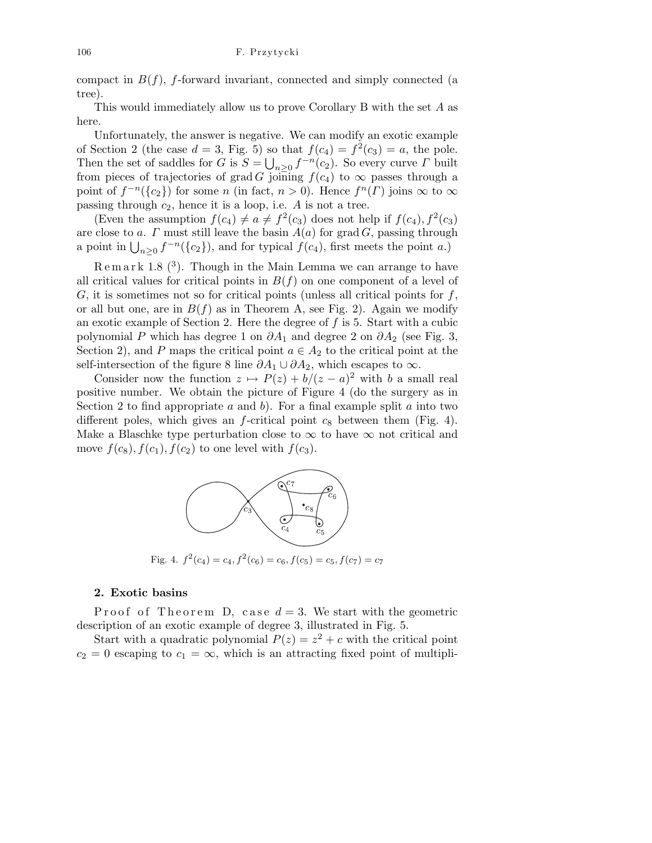compact in  $B(f)$ , f-forward invariant, connected and simply connected (a tree).

This would immediately allow us to prove Corollary B with the set A as here.

Unfortunately, the answer is negative. We can modify an exotic example of Section 2 (the case  $d = 3$ , Fig. 5) so that  $f(c_4) = f^2(c_3) = a$ , the pole. Then the set of saddles for G is  $S = \bigcup_{n\geq 0} f^{-n}(c_2)$ . So every curve  $\Gamma$  built from pieces of trajectories of grad G joining  $f(c_4)$  to  $\infty$  passes through a point of  $f^{-n}(\lbrace c_2 \rbrace)$  for some n (in fact,  $n > 0$ ). Hence  $f^{n}(\Gamma)$  joins  $\infty$  to  $\infty$ passing through  $c_2$ , hence it is a loop, i.e. A is not a tree.

(Even the assumption  $f(c_4) \neq a \neq f^2(c_3)$  does not help if  $f(c_4)$ ,  $f^2(c_3)$ are close to a.  $\Gamma$  must still leave the basin  $A(a)$  for grad  $G$ , passing through a point in  $\bigcup_{n\geq 0} f^{-n}(\lbrace c_2 \rbrace)$ , and for typical  $f(c_4)$ , first meets the point a.)

 $Remark 1.8<sup>(3)</sup>$ . Though in the Main Lemma we can arrange to have all critical values for critical points in  $B(f)$  on one component of a level of  $G$ , it is sometimes not so for critical points (unless all critical points for  $f$ , or all but one, are in  $B(f)$  as in Theorem A, see Fig. 2). Again we modify an exotic example of Section 2. Here the degree of f is 5. Start with a cubic polynomial P which has degree 1 on  $\partial A_1$  and degree 2 on  $\partial A_2$  (see Fig. 3, Section 2), and P maps the critical point  $a \in A_2$  to the critical point at the self-intersection of the figure 8 line  $\partial A_1 \cup \partial A_2$ , which escapes to  $\infty$ .

Consider now the function  $z \mapsto P(z) + b/(z - a)^2$  with b a small real positive number. We obtain the picture of Figure 4 (do the surgery as in Section 2 to find appropriate a and b). For a final example split a into two different poles, which gives an  $f$ -critical point  $c_8$  between them (Fig. 4). Make a Blaschke type perturbation close to  $\infty$  to have  $\infty$  not critical and move  $f(c_8)$ ,  $f(c_1)$ ,  $f(c_2)$  to one level with  $f(c_3)$ .



Fig. 4.  $f^2(c_4) = c_4, f^2(c_6) = c_6, f(c_5) = c_5, f(c_7) = c_7$ 

## 2. Exotic basins

Proof of Theorem D, case  $d=3$ . We start with the geometric description of an exotic example of degree 3, illustrated in Fig. 5.

Start with a quadratic polynomial  $P(z) = z^2 + c$  with the critical point  $c_2 = 0$  escaping to  $c_1 = \infty$ , which is an attracting fixed point of multipli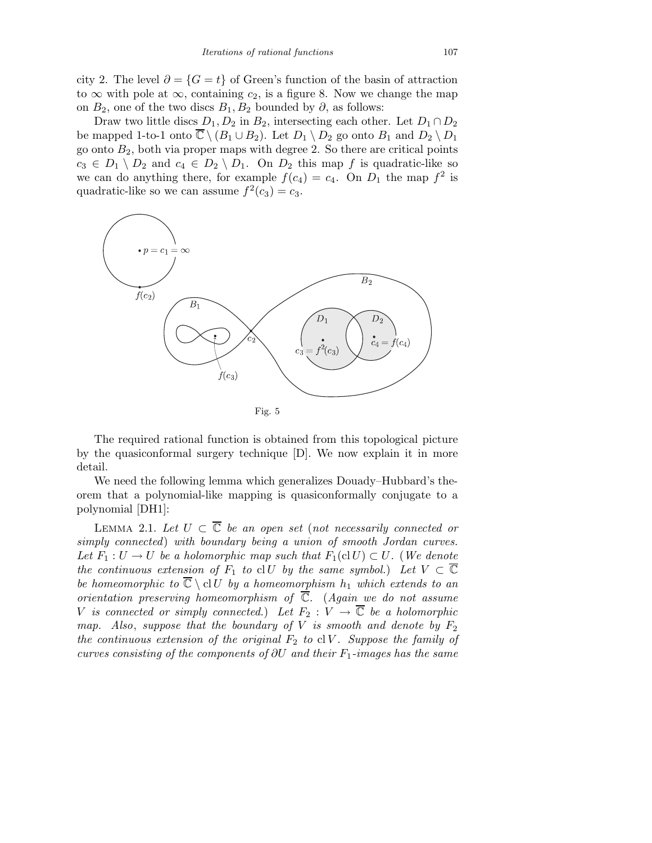city 2. The level  $\partial = \{G = t\}$  of Green's function of the basin of attraction to  $\infty$  with pole at  $\infty$ , containing  $c_2$ , is a figure 8. Now we change the map on  $B_2$ , one of the two discs  $B_1, B_2$  bounded by  $\partial$ , as follows:

Draw two little discs  $D_1, D_2$  in  $B_2$ , intersecting each other. Let  $D_1 \cap D_2$ be mapped 1-to-1 onto  $\overline{\mathbb{C}} \setminus (B_1 \cup B_2)$ . Let  $D_1 \setminus D_2$  go onto  $B_1$  and  $D_2 \setminus D_1$ go onto  $B_2$ , both via proper maps with degree 2. So there are critical points  $c_3 \in D_1 \setminus D_2$  and  $c_4 \in D_2 \setminus D_1$ . On  $D_2$  this map f is quadratic-like so we can do anything there, for example  $f(c_4) = c_4$ . On  $D_1$  the map  $f^2$  is quadratic-like so we can assume  $f^2(c_3) = c_3$ .



The required rational function is obtained from this topological picture by the quasiconformal surgery technique [D]. We now explain it in more detail.

We need the following lemma which generalizes Douady–Hubbard's theorem that a polynomial-like mapping is quasiconformally conjugate to a polynomial [DH1]:

LEMMA 2.1. Let  $U \subset \overline{\mathbb{C}}$  be an open set (not necessarily connected or simply connected) with boundary being a union of smooth Jordan curves. Let  $F_1: U \to U$  be a holomorphic map such that  $F_1(clU) \subset U$ . (We denote the continuous extension of  $F_1$  to cl U by the same symbol.) Let  $V \subset \overline{\mathbb{C}}$ be homeomorphic to  $\overline{\mathbb{C}} \setminus \mathrm{cl} U$  by a homeomorphism  $h_1$  which extends to an orientation preserving homeomorphism of  $\overline{C}$ . (Again we do not assume V is connected or simply connected.) Let  $F_2 : V \to \overline{\mathbb{C}}$  be a holomorphic map. Also, suppose that the boundary of V is smooth and denote by  $F_2$ the continuous extension of the original  $F_2$  to cl V. Suppose the family of curves consisting of the components of  $\partial U$  and their  $F_1$ -images has the same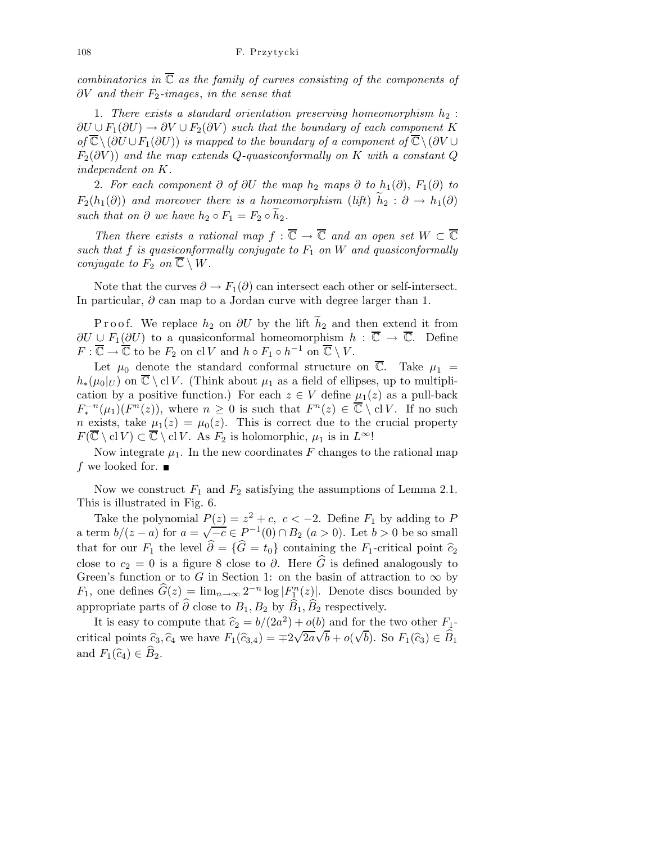combinatorics in  $\overline{\mathbb{C}}$  as the family of curves consisting of the components of  $\partial V$  and their  $F_2$ -images, in the sense that

1. There exists a standard orientation preserving homeomorphism  $h_2$ :  $\partial U \cup F_1(\partial U) \rightarrow \partial V \cup F_2(\partial V)$  such that the boundary of each component K of  $\overline{\mathbb{C}}\setminus(\partial U\cup F_1(\partial U))$  is mapped to the boundary of a component of  $\overline{\mathbb{C}}\setminus(\partial V\cup F_1(\partial U))$  $F_2(\partial V)$  and the map extends Q-quasiconformally on K with a constant Q independent on K.

2. For each component ∂ of ∂U the map  $h_2$  maps ∂ to  $h_1(\partial)$ ,  $F_1(\partial)$  to  $F_2(h_1(\partial))$  and moreover there is a homeomorphism (lift)  $h_2 : \partial \to h_1(\partial)$ such that on  $\partial$  we have  $h_2 \circ F_1 = F_2 \circ h_2$ .

Then there exists a rational map  $f : \overline{\mathbb{C}} \to \overline{\mathbb{C}}$  and an open set  $W \subset \overline{\mathbb{C}}$ such that f is quasiconformally conjugate to  $F_1$  on W and quasiconformally conjugate to  $F_2$  on  $\overline{\mathbb{C}} \setminus W$ .

Note that the curves  $\partial \to F_1(\partial)$  can intersect each other or self-intersect. In particular,  $\partial$  can map to a Jordan curve with degree larger than 1.

P r o o f. We replace  $h_2$  on  $\partial U$  by the lift  $\widetilde{h}_2$  and then extend it from  $\partial U \cup F_1(\partial U)$  to a quasiconformal homeomorphism  $h : \overline{\mathbb{C}} \to \overline{\mathbb{C}}$ . Define  $F: \overline{\mathbb{C}} \to \overline{\mathbb{C}}$  to be  $F_2$  on cl V and  $h \circ F_1 \circ h^{-1}$  on  $\overline{\mathbb{C}} \setminus V$ .

Let  $\mu_0$  denote the standard conformal structure on  $\overline{\mathbb{C}}$ . Take  $\mu_1 =$  $h_*(\mu_0|_U)$  on  $\overline{\mathbb{C}} \setminus \mathrm{cl} V$ . (Think about  $\mu_1$  as a field of ellipses, up to multiplication by a positive function.) For each  $z \in V$  define  $\mu_1(z)$  as a pull-back  $F_*^{-n}(\mu_1)(F^n(z))$ , where  $n \geq 0$  is such that  $F^n(z) \in \overline{\mathbb{C}} \setminus \text{cl } V$ . If no such *n* exists, take  $\mu_1(z) = \mu_0(z)$ . This is correct due to the crucial property  $F(\overline{\mathbb{C}} \setminus \text{cl } V) \subset \overline{\mathbb{C}} \setminus \text{cl } V$ . As  $F_2$  is holomorphic,  $\mu_1$  is in  $L^{\infty}!$ .

Now integrate  $\mu_1$ . In the new coordinates F changes to the rational map f we looked for.  $\blacksquare$ 

Now we construct  $F_1$  and  $F_2$  satisfying the assumptions of Lemma 2.1. This is illustrated in Fig. 6.

Take the polynomial  $P(z) = z^2 + c$ ,  $c < -2$ . Define  $F_1$  by adding to P a term  $b/(z-a)$  for  $a=\sqrt{-c} \in P^{-1}(0) \cap B_2$   $(a > 0)$ . Let  $b > 0$  be so small that for our  $F_1$  the level  $\hat{\partial} = {\hat{G} = t_0}$  containing the  $F_1$ -critical point  $\hat{c}_2$ close to  $c_2 = 0$  is a figure 8 close to  $\partial$ . Here  $\widehat{G}$  is defined analogously to Green's function or to G in Section 1: on the basin of attraction to  $\infty$  by  $F_1$ , one defines  $\widehat{G}(z) = \lim_{n \to \infty} 2^{-n} \log |F_{1}^{n}(z)|$ . Denote discs bounded by appropriate parts of  $\hat{\partial}$  close to  $B_1, B_2$  by  $\hat{B}_1, \hat{B}_2$  respectively.

It is easy to compute that  $\hat{c}_2 = b/(2a^2) + o(b)$  and for the two other  $F_1$ critical points  $\hat{c}_3, \hat{c}_4$  we have  $F_1(\hat{c}_{3,4}) = \pm 2\sqrt{2a}\sqrt{b} + o(\sqrt{b})$ . So  $F_1(\hat{c}_3) \in \hat{B}_1$ and  $F_1(\widehat{c}_4) \in \widehat{B}_2$ .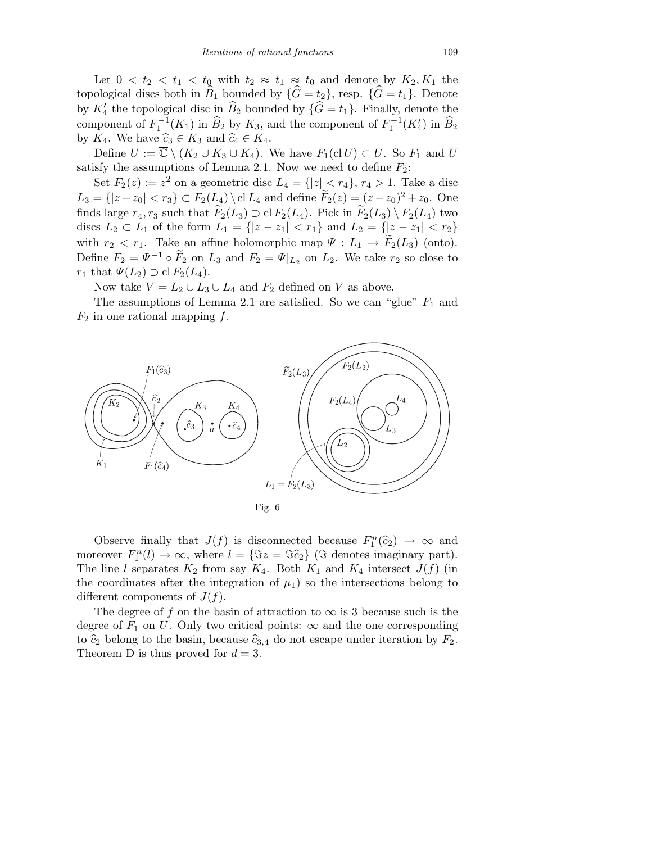Let  $0 < t_2 < t_1 < t_0$  with  $t_2 \approx t_1 \approx t_0$  and denote by  $K_2, K_1$  the topological discs both in  $B_1$  bounded by  $\{G = t_2\}$ , resp.  $\{G = t_1\}$ . Denote by  $K'_4$  the topological disc in  $\widehat{B}_2$  bounded by  $\{\widehat{G} = t_1\}$ . Finally, denote the component of  $F_1^{-1}(K_1)$  in  $\widehat{B}_2$  by  $K_3$ , and the component of  $F_1^{-1}(K_4')$  in  $\widehat{B}_2$ by  $K_4$ . We have  $\widehat{c}_3 \in K_3$  and  $\widehat{c}_4 \in K_4$ .

Define  $U := \overline{\mathbb{C}} \setminus (K_2 \cup K_3 \cup K_4)$ . We have  $F_1(\text{cl } U) \subset U$ . So  $F_1$  and U satisfy the assumptions of Lemma 2.1. Now we need to define  $F_2$ :

Set  $F_2(z) := z^2$  on a geometric disc  $L_4 = \{ |z| \le r_4 \}, r_4 > 1$ . Take a disc  $L_3 = \{ |z - z_0| < r_3 \} \subset F_2(L_4) \setminus \text{cl } L_4 \text{ and define } \tilde{F}_2(z) = (z - z_0)^2 + z_0.$  One finds large  $r_4, r_3$  such that  $\widetilde{F}_2(L_3) \supset \text{cl } F_2(L_4)$ . Pick in  $\widetilde{F}_2(L_3) \setminus F_2(L_4)$  two discs  $L_2 \subset L_1$  of the form  $L_1 = \{ |z - z_1| < r_1 \}$  and  $L_2 = \{ |z - z_1| < r_2 \}$ with  $r_2 < r_1$ . Take an affine holomorphic map  $\Psi: L_1 \to F_2(L_3)$  (onto). Define  $F_2 = \Psi^{-1} \circ F_2$  on  $L_3$  and  $F_2 = \Psi|_{L_2}$  on  $L_2$ . We take  $r_2$  so close to  $r_1$  that  $\Psi(L_2) \supset \text{cl } F_2(L_4)$ .

Now take  $V = L_2 \cup L_3 \cup L_4$  and  $F_2$  defined on V as above.

The assumptions of Lemma 2.1 are satisfied. So we can "glue"  $F_1$  and  $F_2$  in one rational mapping f.



Observe finally that  $J(f)$  is disconnected because  $F_1^n(\hat{c}_2) \to \infty$  and moreover  $F_1^n(l) \to \infty$ , where  $l = {\mathfrak{S}z = \mathfrak{S}z_2}$  ( $\mathfrak{S}$  denotes imaginary part). The line l separates  $K_2$  from say  $K_4$ . Both  $K_1$  and  $K_4$  intersect  $J(f)$  (in the coordinates after the integration of  $\mu_1$ ) so the intersections belong to different components of  $J(f)$ .

The degree of f on the basin of attraction to  $\infty$  is 3 because such is the degree of  $F_1$  on U. Only two critical points:  $\infty$  and the one corresponding to  $\hat{c}_2$  belong to the basin, because  $\hat{c}_{3,4}$  do not escape under iteration by  $F_2$ . Theorem D is thus proved for  $d = 3$ .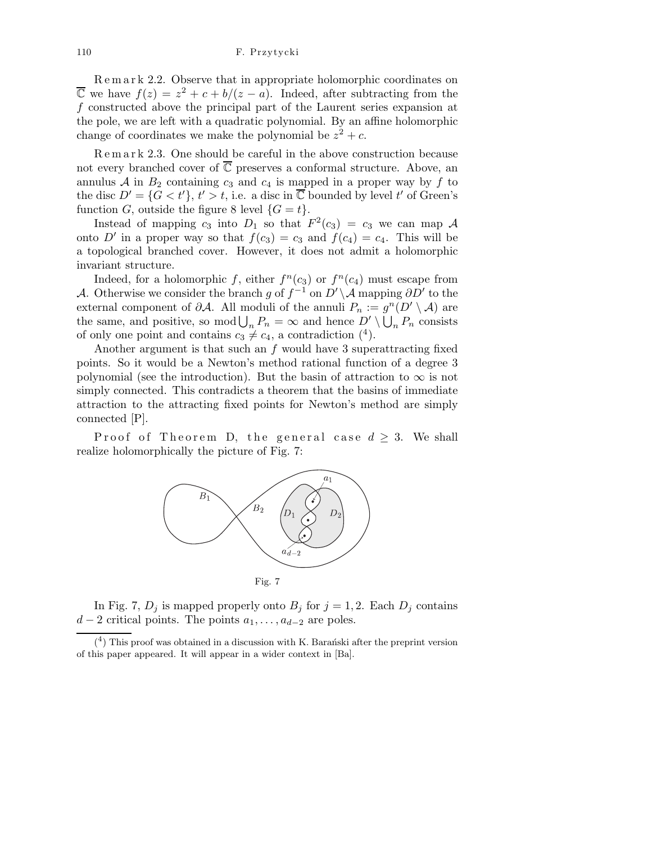R e m a r k 2.2. Observe that in appropriate holomorphic coordinates on  $\overline{\mathbb{C}}$  we have  $f(z) = z^2 + c + b/(z - a)$ . Indeed, after subtracting from the f constructed above the principal part of the Laurent series expansion at the pole, we are left with a quadratic polynomial. By an affine holomorphic change of coordinates we make the polynomial be  $z^2 + c$ .

R e m a r k 2.3. One should be careful in the above construction because not every branched cover of  $\overline{\mathbb{C}}$  preserves a conformal structure. Above, an annulus  $A$  in  $B_2$  containing  $c_3$  and  $c_4$  is mapped in a proper way by f to the disc  $D' = \{G < t'\}, t' > t$ , i.e. a disc in  $\overline{\mathbb{C}}$  bounded by level t' of Green's function G, outside the figure 8 level  $\{G = t\}.$ 

Instead of mapping  $c_3$  into  $D_1$  so that  $F^2(c_3) = c_3$  we can map A onto D' in a proper way so that  $f(c_3) = c_3$  and  $f(c_4) = c_4$ . This will be a topological branched cover. However, it does not admit a holomorphic invariant structure.

Indeed, for a holomorphic f, either  $f^n(c_3)$  or  $f^n(c_4)$  must escape from A. Otherwise we consider the branch g of  $f^{-1}$  on  $D' \backslash A$  mapping  $\partial D'$  to the external component of  $\partial A$ . All moduli of the annuli  $P_n := g^n(D' \setminus A)$  are the same, and positive, so mod  $\bigcup_n P_n = \infty$  and hence  $D' \setminus \bigcup_n P_n$  consists of only one point and contains  $c_3 \neq c_4$ , a contradiction  $(4)$ .

Another argument is that such an  $f$  would have 3 superattracting fixed points. So it would be a Newton's method rational function of a degree 3 polynomial (see the introduction). But the basin of attraction to  $\infty$  is not simply connected. This contradicts a theorem that the basins of immediate attraction to the attracting fixed points for Newton's method are simply connected [P].

Proof of Theorem D, the general case  $d \geq 3$ . We shall realize holomorphically the picture of Fig. 7:



In Fig. 7,  $D_j$  is mapped properly onto  $B_j$  for  $j = 1, 2$ . Each  $D_j$  contains  $d-2$  critical points. The points  $a_1, \ldots, a_{d-2}$  are poles.

 $(4)$  This proof was obtained in a discussion with K. Barantiski after the preprint version of this paper appeared. It will appear in a wider context in [Ba].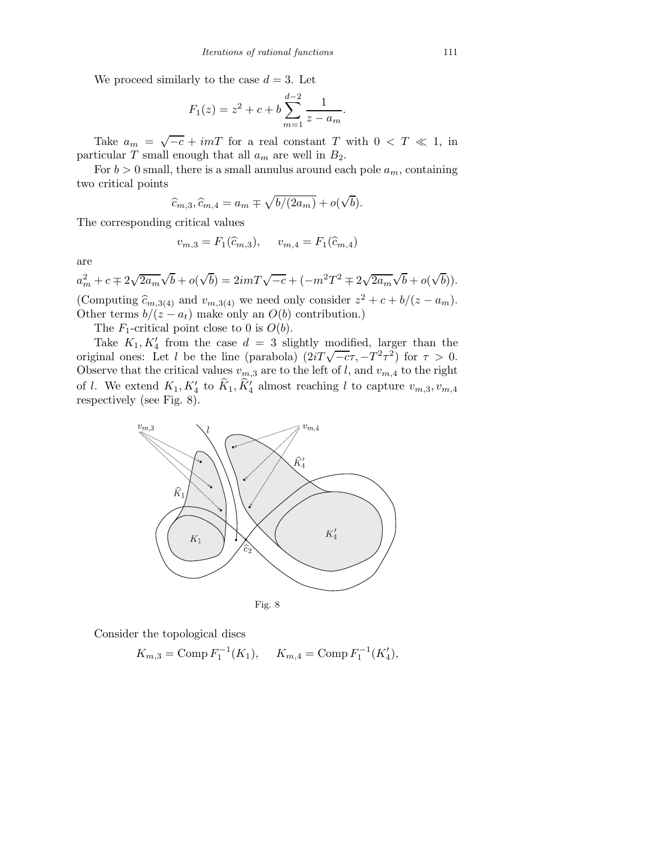We proceed similarly to the case  $d = 3$ . Let

$$
F_1(z) = z^2 + c + b \sum_{m=1}^{d-2} \frac{1}{z - a_m}.
$$

Take  $a_m = \sqrt{-c} + imT$  for a real constant T with  $0 < T \ll 1$ , in particular T small enough that all  $a_m$  are well in  $B_2$ .

For  $b > 0$  small, there is a small annulus around each pole  $a_m$ , containing two critical points

$$
\widehat{c}_{m,3}, \widehat{c}_{m,4} = a_m \mp \sqrt{b/(2a_m)} + o(\sqrt{b}).
$$

The corresponding critical values

$$
v_{m,3} = F_1(\hat{c}_{m,3}), \quad v_{m,4} = F_1(\hat{c}_{m,4})
$$

are

 $a_m^2 + c \mp 2\sqrt{2a_m}\sqrt{b} + o(\sqrt{b}) = 2imT\sqrt{-c} + (-m^2T^2 \mp 2\sqrt{2a_m}\sqrt{b} + o(\sqrt{b})).$ (Computing  $\hat{c}_{m,3(4)}$  and  $v_{m,3(4)}$  we need only consider  $z^2 + c + b/(z - a_m)$ .

Other terms  $b/(z - a_t)$  make only an  $O(b)$  contribution.)

The  $F_1$ -critical point close to 0 is  $O(b)$ .

Take  $K_1, K'_4$  from the case  $d = 3$  slightly modified, larger than the original ones: Let l be the line (parabola)  $(2iT\sqrt{-c}\tau, -T^2\tau^2)$  for  $\tau > 0$ . Observe that the critical values  $v_{m,3}$  are to the left of l, and  $v_{m,4}$  to the right of l. We extend  $K_1, K_4'$  to  $\hat{K}_1, \hat{K}_4'$  almost reaching l to capture  $v_{m,3}, v_{m,4}$ respectively (see Fig. 8).



Consider the topological discs

$$
K_{m,3} = \text{Comp } F_1^{-1}(K_1), \quad K_{m,4} = \text{Comp } F_1^{-1}(K'_4),
$$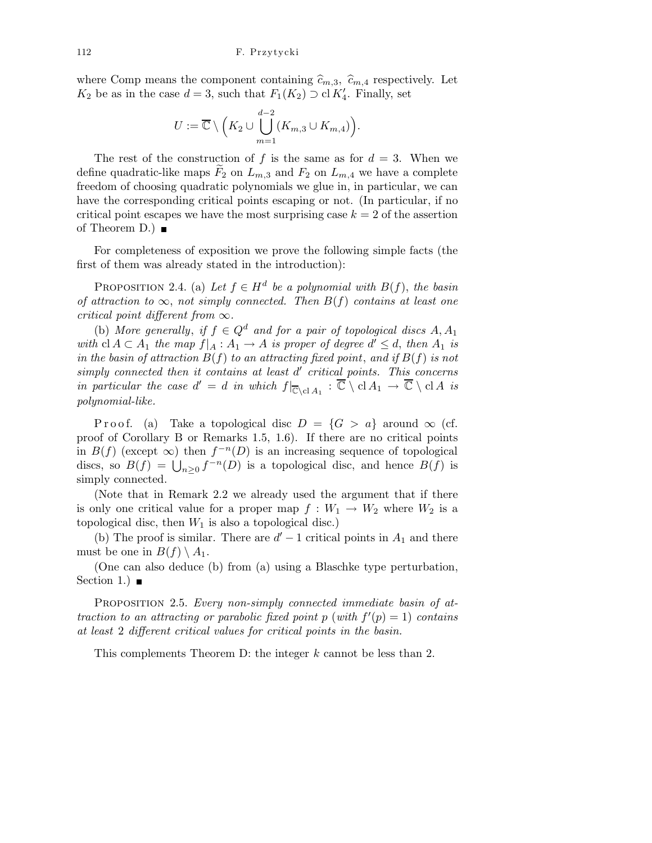where Comp means the component containing  $\widehat{c}_{m,3}$ ,  $\widehat{c}_{m,4}$  respectively. Let  $K_2$  be as in the case  $d = 3$ , such that  $F_1(K_2) \supset \text{cl } K'_4$ . Finally, set

$$
U := \overline{\mathbb{C}} \setminus \Big( K_2 \cup \bigcup_{m=1}^{d-2} (K_{m,3} \cup K_{m,4}) \Big).
$$

The rest of the construction of f is the same as for  $d = 3$ . When we define quadratic-like maps  $F_2$  on  $L_{m,3}$  and  $F_2$  on  $L_{m,4}$  we have a complete freedom of choosing quadratic polynomials we glue in, in particular, we can have the corresponding critical points escaping or not. (In particular, if no critical point escapes we have the most surprising case  $k = 2$  of the assertion of Theorem D.)  $\blacksquare$ 

For completeness of exposition we prove the following simple facts (the first of them was already stated in the introduction):

PROPOSITION 2.4. (a) Let  $f \in H^d$  be a polynomial with  $B(f)$ , the basin of attraction to  $\infty$ , not simply connected. Then  $B(f)$  contains at least one critical point different from  $\infty$ .

(b) More generally, if  $f \in Q^d$  and for a pair of topological discs A, A<sub>1</sub> with  $cl A \subset A_1$  the map  $f|_A : A_1 \to A$  is proper of degree  $d' \leq d$ , then  $A_1$  is in the basin of attraction  $B(f)$  to an attracting fixed point, and if  $B(f)$  is not simply connected then it contains at least  $d'$  critical points. This concerns in particular the case  $d' = d$  in which  $f|_{\overline{\mathbb{C}} \backslash cl A_1} : \overline{\mathbb{C}} \setminus cl A_1 \to \overline{\mathbb{C}} \setminus cl A$  is polynomial-like.

P r o o f. (a) Take a topological disc  $D = \{G > a\}$  around  $\infty$  (cf. proof of Corollary B or Remarks 1.5, 1.6). If there are no critical points in  $B(f)$  (except  $\infty$ ) then  $f^{-n}(D)$  is an increasing sequence of topological discs, so  $B(f) = \bigcup_{n\geq 0} f^{-n}(D)$  is a topological disc, and hence  $B(f)$  is simply connected.

(Note that in Remark 2.2 we already used the argument that if there is only one critical value for a proper map  $f : W_1 \to W_2$  where  $W_2$  is a topological disc, then  $W_1$  is also a topological disc.)

(b) The proof is similar. There are  $d' - 1$  critical points in  $A_1$  and there must be one in  $B(f) \setminus A_1$ .

(One can also deduce (b) from (a) using a Blaschke type perturbation, Section 1.)  $\blacksquare$ 

PROPOSITION 2.5. Every non-simply connected immediate basin of attraction to an attracting or parabolic fixed point p (with  $f'(p) = 1$ ) contains at least 2 different critical values for critical points in the basin.

This complements Theorem D: the integer k cannot be less than 2.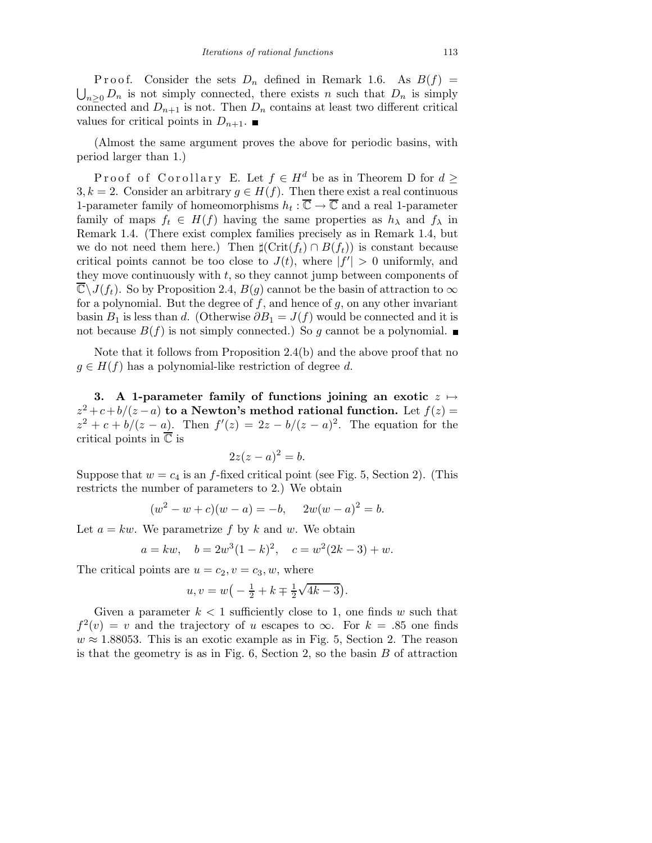P r o o f. Consider the sets  $D_n$  defined in Remark 1.6. As  $B(f)$  =  $\bigcup_{n\geq 0} D_n$  is not simply connected, there exists n such that  $D_n$  is simply connected and  $D_{n+1}$  is not. Then  $D_n$  contains at least two different critical values for critical points in  $D_{n+1}$ .

(Almost the same argument proves the above for periodic basins, with period larger than 1.)

Proof of Corollary E. Let  $f \in H^d$  be as in Theorem D for  $d \geq$ 3, k = 2. Consider an arbitrary  $g \in H(f)$ . Then there exist a real continuous 1-parameter family of homeomorphisms  $h_t : \overline{\mathbb{C}} \to \overline{\mathbb{C}}$  and a real 1-parameter family of maps  $f_t \in H(f)$  having the same properties as  $h_{\lambda}$  and  $f_{\lambda}$  in Remark 1.4. (There exist complex families precisely as in Remark 1.4, but we do not need them here.) Then  $\sharp(\mathrm{Crit}(f_t) \cap B(f_t))$  is constant because critical points cannot be too close to  $J(t)$ , where  $|f'| > 0$  uniformly, and they move continuously with  $t$ , so they cannot jump between components of  $\mathbb{C}\setminus J(f_t)$ . So by Proposition 2.4,  $B(g)$  cannot be the basin of attraction to  $\infty$ for a polynomial. But the degree of  $f$ , and hence of  $g$ , on any other invariant basin  $B_1$  is less than d. (Otherwise  $\partial B_1 = J(f)$  would be connected and it is not because  $B(f)$  is not simply connected.) So g cannot be a polynomial.

Note that it follows from Proposition 2.4(b) and the above proof that no  $g \in H(f)$  has a polynomial-like restriction of degree d.

3. A 1-parameter family of functions joining an exotic  $z \mapsto$  $z^2 + c + b/(z - a)$  to a Newton's method rational function. Let  $f(z) =$  $z^2 + c + b/(z - a)$ . Then  $f'(z) = 2z - b/(z - a)^2$ . The equation for the critical points in  $\overline{\mathbb{C}}$  is

$$
2z(z-a)^2 = b.
$$

Suppose that  $w = c_4$  is an f-fixed critical point (see Fig. 5, Section 2). (This restricts the number of parameters to 2.) We obtain

$$
(w2 - w + c)(w - a) = -b, \quad 2w(w - a)2 = b.
$$

Let  $a = kw$ . We parametrize f by k and w. We obtain

$$
a = kw
$$
,  $b = 2w^3(1 - k)^2$ ,  $c = w^2(2k - 3) + w$ .

The critical points are  $u = c_2, v = c_3, w$ , where

$$
u, v = w(-\frac{1}{2} + k \mp \frac{1}{2}\sqrt{4k - 3}).
$$

Given a parameter  $k < 1$  sufficiently close to 1, one finds w such that  $f^{2}(v) = v$  and the trajectory of u escapes to  $\infty$ . For  $k = .85$  one finds  $w \approx 1.88053$ . This is an exotic example as in Fig. 5, Section 2. The reason is that the geometry is as in Fig.  $6$ , Section 2, so the basin  $B$  of attraction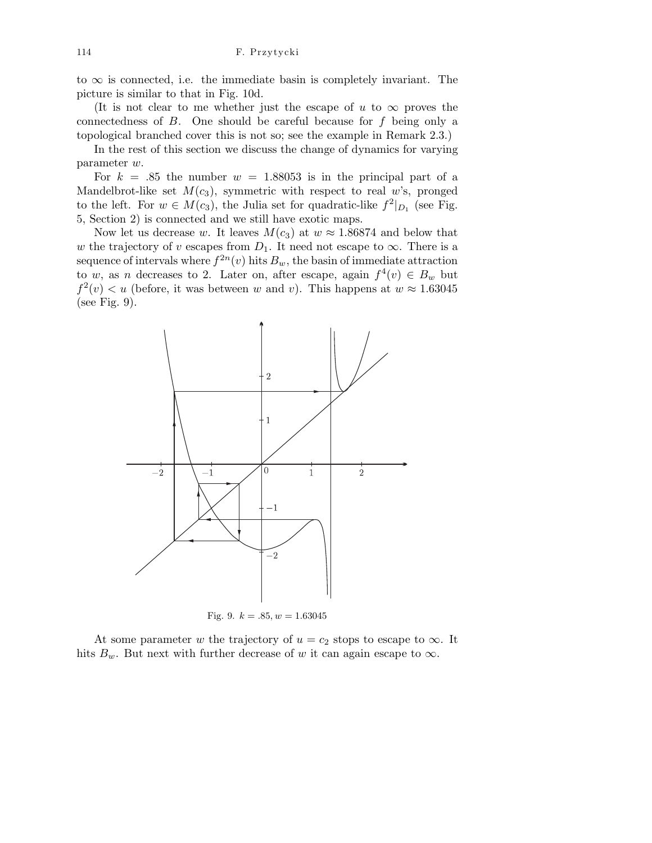114 F. Przytycki

to  $\infty$  is connected, i.e. the immediate basin is completely invariant. The picture is similar to that in Fig. 10d.

(It is not clear to me whether just the escape of u to  $\infty$  proves the connectedness of  $B$ . One should be careful because for  $f$  being only a topological branched cover this is not so; see the example in Remark 2.3.)

In the rest of this section we discuss the change of dynamics for varying parameter w.

For  $k = .85$  the number  $w = 1.88053$  is in the principal part of a Mandelbrot-like set  $M(c_3)$ , symmetric with respect to real w's, pronged to the left. For  $w \in M(c_3)$ , the Julia set for quadratic-like  $f^2|_{D_1}$  (see Fig. 5, Section 2) is connected and we still have exotic maps.

Now let us decrease w. It leaves  $M(c_3)$  at  $w \approx 1.86874$  and below that w the trajectory of v escapes from  $D_1$ . It need not escape to  $\infty$ . There is a sequence of intervals where  $f^{2n}(v)$  hits  $B_w$ , the basin of immediate attraction to w, as n decreases to 2. Later on, after escape, again  $f^4(v) \in B_w$  but  $f^2(v) < u$  (before, it was between w and v). This happens at  $w \approx 1.63045$ (see Fig. 9).



Fig. 9.  $k = .85, w = 1.63045$ 

At some parameter w the trajectory of  $u = c_2$  stops to escape to  $\infty$ . It hits  $B_w$ . But next with further decrease of w it can again escape to  $\infty$ .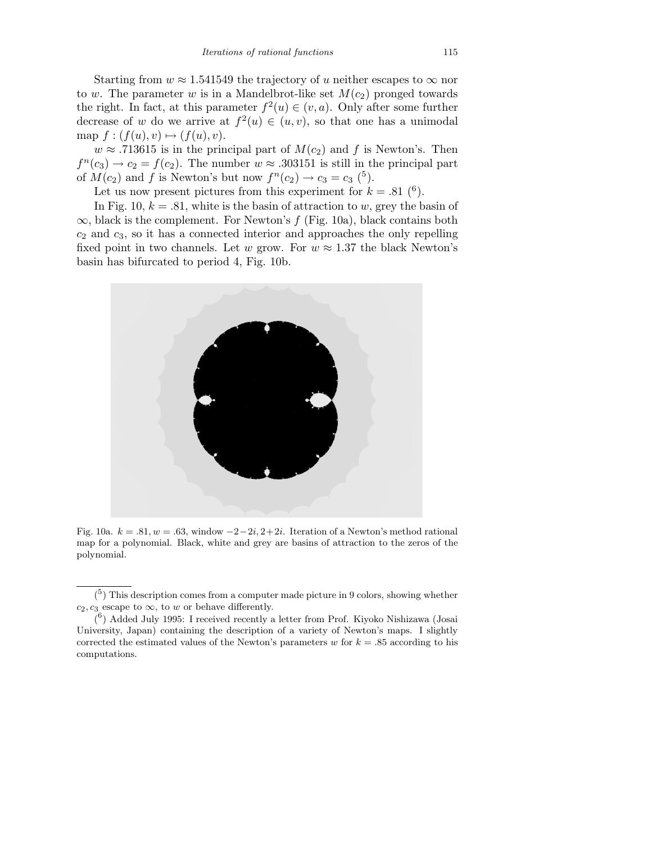Starting from  $w \approx 1.541549$  the trajectory of u neither escapes to  $\infty$  nor to w. The parameter w is in a Mandelbrot-like set  $M(c_2)$  pronged towards the right. In fact, at this parameter  $f^2(u) \in (v, a)$ . Only after some further decrease of w do we arrive at  $f^2(u) \in (u, v)$ , so that one has a unimodal map  $f : (f(u), v) \mapsto (f(u), v).$ 

 $w \approx .713615$  is in the principal part of  $M(c_2)$  and f is Newton's. Then  $f^{n}(c_3) \rightarrow c_2 = f(c_2)$ . The number  $w \approx .303151$  is still in the principal part of  $M(c_2)$  and f is Newton's but now  $f^n(c_2) \rightarrow c_3 = c_3$  (<sup>5</sup>).

Let us now present pictures from this experiment for  $k = .81\;(^6)$ .

In Fig. 10,  $k = .81$ , white is the basin of attraction to w, grey the basin of  $\infty$ , black is the complement. For Newton's f (Fig. 10a), black contains both  $c_2$  and  $c_3$ , so it has a connected interior and approaches the only repelling fixed point in two channels. Let w grow. For  $w \approx 1.37$  the black Newton's basin has bifurcated to period 4, Fig. 10b.



Fig. 10a.  $k = .81, w = .63$ , window  $-2-2i, 2+2i$ . Iteration of a Newton's method rational map for a polynomial. Black, white and grey are basins of attraction to the zeros of the polynomial.

 $\binom{5}{1}$  This description comes from a computer made picture in 9 colors, showing whether  $c_2, c_3$  escape to  $\infty$ , to *w* or behave differently.

 $(6)$  Added July 1995: I received recently a letter from Prof. Kiyoko Nishizawa (Josai University, Japan) containing the description of a variety of Newton's maps. I slightly corrected the estimated values of the Newton's parameters  $w$  for  $k = .85$  according to his computations.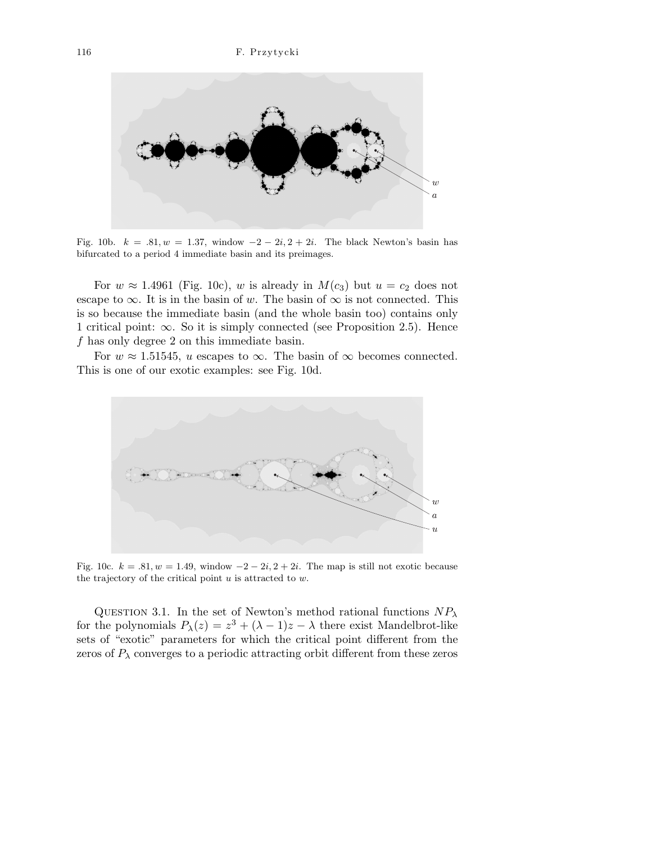

Fig. 10b.  $k = .81, w = 1.37$ , window  $-2 - 2i$ ,  $2 + 2i$ . The black Newton's basin has bifurcated to a period 4 immediate basin and its preimages.

For  $w \approx 1.4961$  (Fig. 10c), w is already in  $M(c_3)$  but  $u = c_2$  does not escape to  $\infty$ . It is in the basin of w. The basin of  $\infty$  is not connected. This is so because the immediate basin (and the whole basin too) contains only 1 critical point:  $\infty$ . So it is simply connected (see Proposition 2.5). Hence f has only degree 2 on this immediate basin.

For  $w \approx 1.51545$ , u escapes to  $\infty$ . The basin of  $\infty$  becomes connected. This is one of our exotic examples: see Fig. 10d.



Fig. 10c.  $k = .81, w = 1.49$ , window  $-2 - 2i$ ,  $2 + 2i$ . The map is still not exotic because the trajectory of the critical point *u* is attracted to *w*.

QUESTION 3.1. In the set of Newton's method rational functions  $NP_\lambda$ for the polynomials  $P_{\lambda}(z) = z^3 + (\lambda - 1)z - \lambda$  there exist Mandelbrot-like sets of "exotic" parameters for which the critical point different from the zeros of  $P_{\lambda}$  converges to a periodic attracting orbit different from these zeros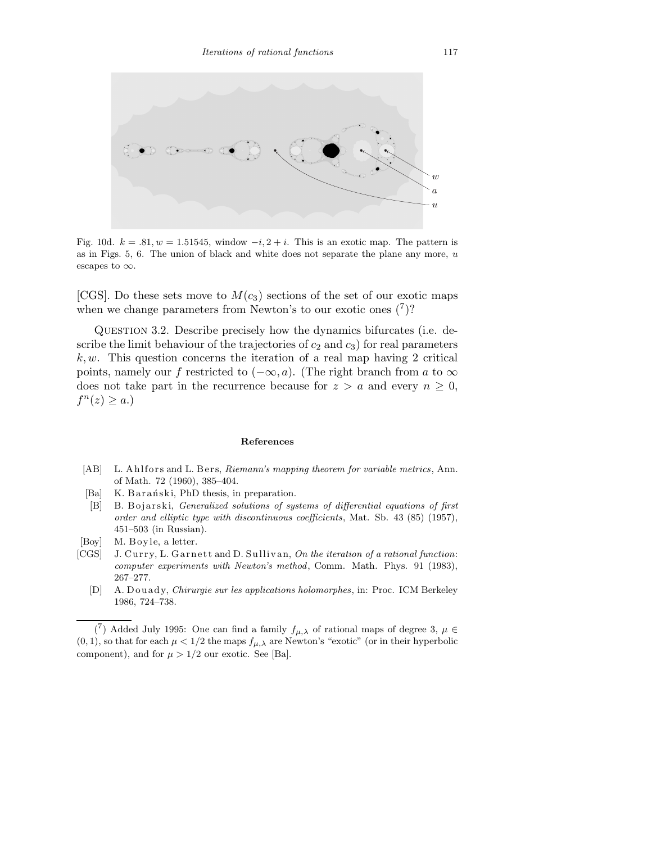

Fig. 10d.  $k = .81, w = 1.51545$ , window  $-i$ ,  $2+i$ . This is an exotic map. The pattern is as in Figs. 5, 6. The union of black and white does not separate the plane any more, *u* escapes to *∞*.

[CGS]. Do these sets move to  $M(c_3)$  sections of the set of our exotic maps when we change parameters from Newton's to our exotic ones  $(7)$ ?

Question 3.2. Describe precisely how the dynamics bifurcates (i.e. describe the limit behaviour of the trajectories of  $c_2$  and  $c_3$ ) for real parameters  $k, w$ . This question concerns the iteration of a real map having 2 critical points, namely our f restricted to  $(-\infty, a)$ . (The right branch from a to  $\infty$ does not take part in the recurrence because for  $z > a$  and every  $n \geq 0$ ,  $f^n(z) \geq a.$ 

## **References**

- [AB] L. Ahlfors and L. Bers, *Riemann's mapping theorem for variable metrics*, Ann. of Math. 72 (1960), 385–404.
- [Ba] K. Barański, PhD thesis, in preparation.
- [B] B. Bojarski, *Generalized solutions of systems of differential equations of first order and elliptic type with discontinuous coefficients*, Mat. Sb. 43 (85) (1957), 451–503 (in Russian).
- [Boy] M. Boyle, a letter.
- [CGS] J. Curry, L. Garnett and D. Sullivan, *On the iteration of a rational function*: *computer experiments with Newton's method*, Comm. Math. Phys. 91 (1983), 267–277.
	- [D] A. Douady, *Chirurgie sur les applications holomorphes*, in: Proc. ICM Berkeley 1986, 724–738.

<sup>&</sup>lt;sup>(7</sup>) Added July 1995: One can find a family  $f_{\mu,\lambda}$  of rational maps of degree 3,  $\mu \in$  $(0,1)$ , so that for each  $\mu < 1/2$  the maps  $f_{\mu,\lambda}$  are Newton's "exotic" (or in their hyperbolic component), and for  $\mu > 1/2$  our exotic. See [Ba].